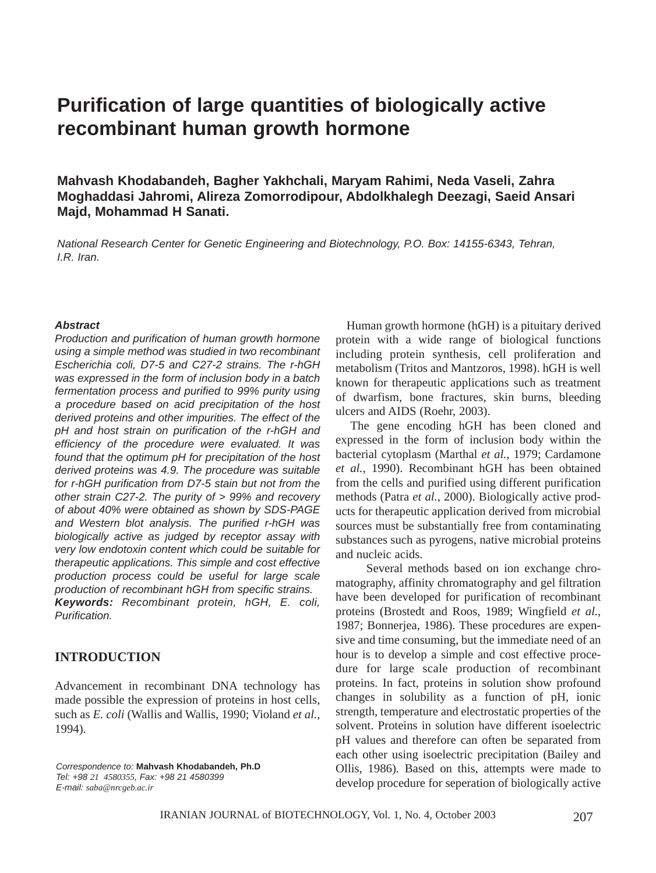# **Purification of large quantities of biologically active recombinant human growth hormone**

**Mahvash Khodabandeh, Bagher Yakhchali, Maryam Rahimi, Neda Vaseli, Zahra Moghaddasi Jahromi, Alireza Zomorrodipour, Abdolkhalegh Deezagi, Saeid Ansari Majd, Mohammad H Sanati.** 

*National Research Center for Genetic Engineering and Biotechnology, P.O. Box: 14155-6343, Tehran, I.R. Iran.*

#### *Abstract*

*Production and purification of human growth hormone using a simple method was studied in two recombinant Escherichia coli, D7-5 and C27-2 strains. The r-hGH was expressed in the form of inclusion body in a batch fermentation process and purified to 99% purity using a procedure based on acid precipitation of the host derived proteins and other impurities. The effect of the pH and host strain on purification of the r-hGH and efficiency of the procedure were evaluated. It was found that the optimum pH for precipitation of the host derived proteins was 4.9. The procedure was suitable for r-hGH purification from D7-5 stain but not from the other strain C27-2. The purity of > 99% and recovery of about 40% were obtained as shown by SDS-PAGE and Western blot analysis. The purified r-hGH was biologically active as judged by receptor assay with very low endotoxin content which could be suitable for therapeutic applications. This simple and cost effective production process could be useful for large scale production of recombinant hGH from specific strains. Keywords: Recombinant protein, hGH, E. coli, Purification.*

#### **INTRODUCTION**

Advancement in recombinant DNA technology has made possible the expression of proteins in host cells, such as *E. coli* (Wallis and Wallis, 1990; Violand *et al.,* 1994).

*Correspondence to:* **Mahvash Khodabandeh, Ph.D** *Tel: +98 21 4580355, Fax: +98 21 4580399 E-mail: saba@nrcgeb.ac.ir*

Human growth hormone (hGH) is a pituitary derived protein with a wide range of biological functions including protein synthesis, cell proliferation and metabolism (Tritos and Mantzoros, 1998). hGH is well known for therapeutic applications such as treatment of dwarfism, bone fractures, skin burns, bleeding ulcers and AIDS (Roehr, 2003).

The gene encoding hGH has been cloned and expressed in the form of inclusion body within the bacterial cytoplasm (Marthal *et al.,* 1979; Cardamone *et al.,* 1990). Recombinant hGH has been obtained from the cells and purified using different purification methods (Patra *et al.,* 2000). Biologically active products for therapeutic application derived from microbial sources must be substantially free from contaminating substances such as pyrogens, native microbial proteins and nucleic acids.

Several methods based on ion exchange chromatography, affinity chromatography and gel filtration have been developed for purification of recombinant proteins (Brostedt and Roos, 1989; Wingfield *et al.,* 1987; Bonnerjea, 1986). These procedures are expensive and time consuming, but the immediate need of an hour is to develop a simple and cost effective procedure for large scale production of recombinant proteins. In fact, proteins in solution show profound changes in solubility as a function of pH, ionic strength, temperature and electrostatic properties of the solvent. Proteins in solution have different isoelectric pH values and therefore can often be separated from each other using isoelectric precipitation (Bailey and Ollis, 1986). Based on this, attempts were made to develop procedure for seperation of biologically active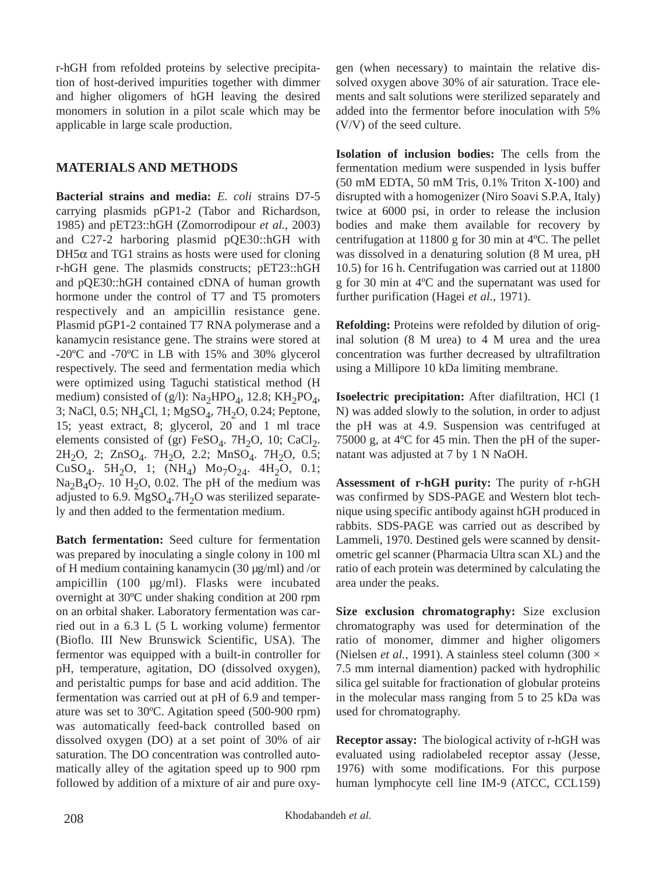r-hGH from refolded proteins by selective precipitation of host-derived impurities together with dimmer and higher oligomers of hGH leaving the desired monomers in solution in a pilot scale which may be applicable in large scale production.

# **MATERIALS AND METHODS**

**Bacterial strains and media:** *E. coli* strains D7-5 carrying plasmids pGP1-2 (Tabor and Richardson, 1985) and pET23::hGH (Zomorrodipour *et al.,* 2003) and C27-2 harboring plasmid pQE30::hGH with  $DH5\alpha$  and TG1 strains as hosts were used for cloning r-hGH gene. The plasmids constructs; pET23::hGH and pQE30::hGH contained cDNA of human growth hormone under the control of T7 and T5 promoters respectively and an ampicillin resistance gene. Plasmid pGP1-2 contained T7 RNA polymerase and a kanamycin resistance gene. The strains were stored at -20ºC and -70ºC in LB with 15% and 30% glycerol respectively. The seed and fermentation media which were optimized using Taguchi statistical method (H medium) consisted of (g/l):  $Na<sub>2</sub>HPO<sub>4</sub>$ , 12.8; KH<sub>2</sub>PO<sub>4</sub>, 3; NaCl, 0.5; NH<sub>4</sub>Cl, 1; MgSO<sub>4</sub>, 7H<sub>2</sub>O, 0.24; Peptone, 15; yeast extract, 8; glycerol, 20 and 1 ml trace elements consisted of (gr) FeSO<sub>4</sub>. 7H<sub>2</sub>O, 10; CaCl<sub>2</sub>.  $2H_2O$ , 2;  $ZnSO_4$ . 7 $H_2O$ , 2.2;  $MnSO_4$ . 7 $H_2O$ , 0.5; CuSO<sub>4</sub>. 5H<sub>2</sub>O, 1; (NH<sub>4</sub>) Mo<sub>7</sub>O<sub>24</sub>. 4H<sub>2</sub>O, 0.1;  $Na<sub>2</sub>B<sub>4</sub>O<sub>7</sub>$ . 10 H<sub>2</sub>O, 0.02. The pH of the medium was adjusted to 6.9.  $MgSO<sub>4</sub>$ .7H<sub>2</sub>O was sterilized separately and then added to the fermentation medium.

**Batch fermentation:** Seed culture for fermentation was prepared by inoculating a single colony in 100 ml of H medium containing kanamycin (30 µg/ml) and /or ampicillin (100 µg/ml). Flasks were incubated overnight at 30ºC under shaking condition at 200 rpm on an orbital shaker. Laboratory fermentation was carried out in a 6.3 L (5 L working volume) fermentor (Bioflo. III New Brunswick Scientific, USA). The fermentor was equipped with a built-in controller for pH, temperature, agitation, DO (dissolved oxygen), and peristaltic pumps for base and acid addition. The fermentation was carried out at pH of 6.9 and temperature was set to 30ºC. Agitation speed (500-900 rpm) was automatically feed-back controlled based on dissolved oxygen (DO) at a set point of 30% of air saturation. The DO concentration was controlled automatically alley of the agitation speed up to 900 rpm followed by addition of a mixture of air and pure oxygen (when necessary) to maintain the relative dissolved oxygen above 30% of air saturation. Trace elements and salt solutions were sterilized separately and added into the fermentor before inoculation with 5% (V/V) of the seed culture.

**Isolation of inclusion bodies:** The cells from the fermentation medium were suspended in lysis buffer (50 mM EDTA, 50 mM Tris, 0.1% Triton X-100) and disrupted with a homogenizer (Niro Soavi S.P.A, Italy) twice at 6000 psi, in order to release the inclusion bodies and make them available for recovery by centrifugation at 11800 g for 30 min at 4ºC. The pellet was dissolved in a denaturing solution (8 M urea, pH 10.5) for 16 h. Centrifugation was carried out at 11800 g for 30 min at 4ºC and the supernatant was used for further purification (Hagei *et al.,* 1971).

**Refolding:** Proteins were refolded by dilution of original solution (8 M urea) to 4 M urea and the urea concentration was further decreased by ultrafiltration using a Millipore 10 kDa limiting membrane.

**Isoelectric precipitation:** After diafiltration, HCl (1 N) was added slowly to the solution, in order to adjust the pH was at 4.9. Suspension was centrifuged at 75000 g, at 4ºC for 45 min. Then the pH of the supernatant was adjusted at 7 by 1 N NaOH.

**Assessment of r-hGH purity:** The purity of r-hGH was confirmed by SDS-PAGE and Western blot technique using specific antibody against hGH produced in rabbits. SDS-PAGE was carried out as described by Lammeli, 1970. Destined gels were scanned by densitometric gel scanner (Pharmacia Ultra scan XL) and the ratio of each protein was determined by calculating the area under the peaks.

**Size exclusion chromatography:** Size exclusion chromatography was used for determination of the ratio of monomer, dimmer and higher oligomers (Nielsen *et al.*, 1991). A stainless steel column (300  $\times$ 7.5 mm internal diamention) packed with hydrophilic silica gel suitable for fractionation of globular proteins in the molecular mass ranging from 5 to 25 kDa was used for chromatography.

**Receptor assay:** The biological activity of r-hGH was evaluated using radiolabeled receptor assay (Jesse, 1976) with some modifications. For this purpose human lymphocyte cell line IM-9 (ATCC, CCL159)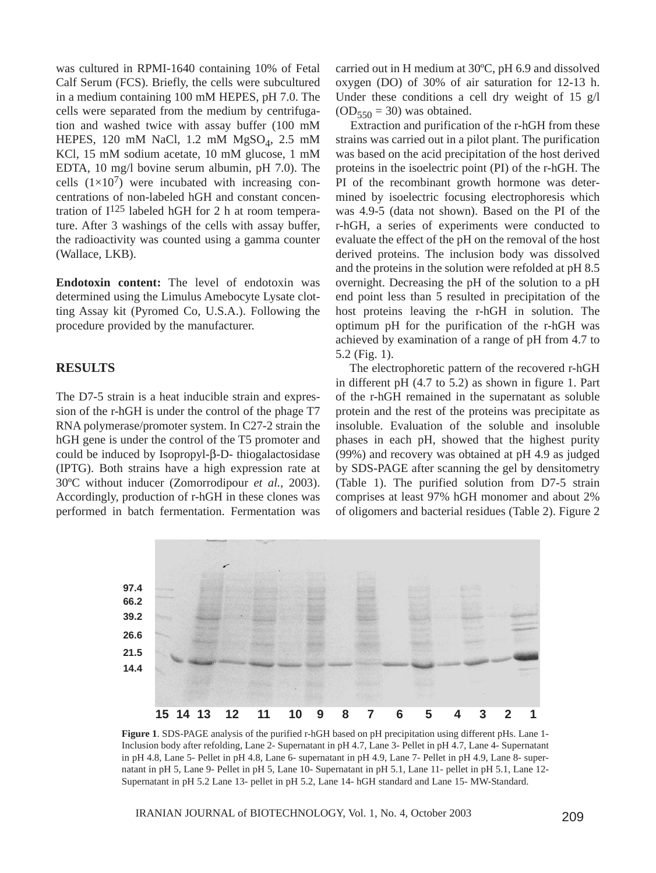was cultured in RPMI-1640 containing 10% of Fetal Calf Serum (FCS). Briefly, the cells were subcultured in a medium containing 100 mM HEPES, pH 7.0. The cells were separated from the medium by centrifugation and washed twice with assay buffer (100 mM HEPES, 120 mM NaCl, 1.2 mM  $MgSO<sub>4</sub>$ , 2.5 mM KCl, 15 mM sodium acetate, 10 mM glucose, 1 mM EDTA, 10 mg/l bovine serum albumin, pH 7.0). The cells  $(1\times10^7)$  were incubated with increasing concentrations of non-labeled hGH and constant concentration of  $I^{125}$  labeled hGH for 2 h at room temperature. After 3 washings of the cells with assay buffer, the radioactivity was counted using a gamma counter (Wallace, LKB).

**Endotoxin content:** The level of endotoxin was determined using the Limulus Amebocyte Lysate clotting Assay kit (Pyromed Co, U.S.A.). Following the procedure provided by the manufacturer.

## **RESULTS**

The D7-5 strain is a heat inducible strain and expression of the r-hGH is under the control of the phage T7 RNA polymerase/promoter system. In C27-2 strain the hGH gene is under the control of the T5 promoter and could be induced by Isopropyl-β-D- thiogalactosidase (IPTG). Both strains have a high expression rate at 30ºC without inducer (Zomorrodipour *et al.,* 2003). Accordingly, production of r-hGH in these clones was performed in batch fermentation. Fermentation was carried out in H medium at 30ºC, pH 6.9 and dissolved oxygen (DO) of 30% of air saturation for 12-13 h. Under these conditions a cell dry weight of 15 g/l  $(OD_{550} = 30)$  was obtained.

Extraction and purification of the r-hGH from these strains was carried out in a pilot plant. The purification was based on the acid precipitation of the host derived proteins in the isoelectric point (PI) of the r-hGH. The PI of the recombinant growth hormone was determined by isoelectric focusing electrophoresis which was 4.9-5 (data not shown). Based on the PI of the r-hGH, a series of experiments were conducted to evaluate the effect of the pH on the removal of the host derived proteins. The inclusion body was dissolved and the proteins in the solution were refolded at pH 8.5 overnight. Decreasing the pH of the solution to a pH end point less than 5 resulted in precipitation of the host proteins leaving the r-hGH in solution. The optimum pH for the purification of the r-hGH was achieved by examination of a range of pH from 4.7 to 5.2 (Fig. 1).

The electrophoretic pattern of the recovered r-hGH in different pH (4.7 to 5.2) as shown in figure 1. Part of the r-hGH remained in the supernatant as soluble protein and the rest of the proteins was precipitate as insoluble. Evaluation of the soluble and insoluble phases in each pH, showed that the highest purity (99%) and recovery was obtained at pH 4.9 as judged by SDS-PAGE after scanning the gel by densitometry (Table 1). The purified solution from D7-5 strain comprises at least 97% hGH monomer and about 2% of oligomers and bacterial residues (Table 2). Figure 2



**Figure 1**. SDS-PAGE analysis of the purified r-hGH based on pH precipitation using different pHs. Lane 1- Inclusion body after refolding, Lane 2- Supernatant in pH 4.7, Lane 3- Pellet in pH 4.7, Lane 4- Supernatant in pH 4.8, Lane 5- Pellet in pH 4.8, Lane 6- supernatant in pH 4.9, Lane 7- Pellet in pH 4.9, Lane 8- supernatant in pH 5, Lane 9- Pellet in pH 5, Lane 10- Supernatant in pH 5.1, Lane 11- pellet in pH 5.1, Lane 12- Supernatant in pH 5.2 Lane 13- pellet in pH 5.2, Lane 14- hGH standard and Lane 15- MW-Standard.

IRANIAN JOURNAL of BIOTECHNOLOGY, Vol. 1, No. 4, October 2003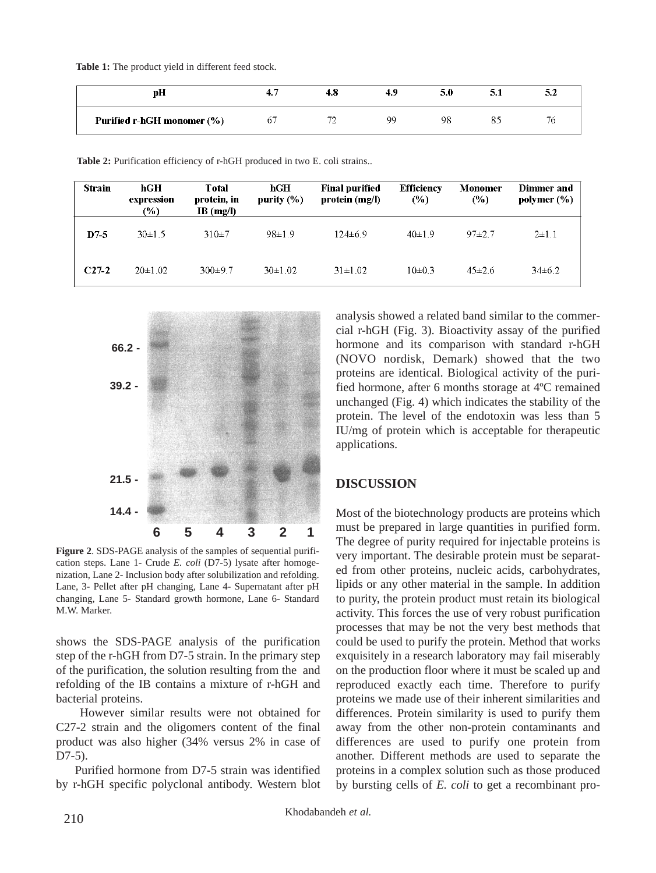**Table 1:** The product yield in different feed stock.

| vН                         |  | 40. | 5.0 | المتوقف | تتدمد |
|----------------------------|--|-----|-----|---------|-------|
| Purified r-hGH monomer (%) |  | oc  |     |         |       |

| <b>Strain</b> | hGH<br>expression<br>$(\%)$ | Total<br>protein, in<br>IB(mg/l) | hGH<br>purity $(\%)$ | <b>Final purified</b><br>protein (mg/l) | <b>Efficiency</b><br>(%) | Monomer<br>(%) | Dimmer and<br>polymer $(\% )$ |
|---------------|-----------------------------|----------------------------------|----------------------|-----------------------------------------|--------------------------|----------------|-------------------------------|
| $D7-5$        | $30\pm1.5$                  | $310+7$                          | 98±1.9               | $124 \pm 6.9$                           | 40±1.9                   | $97+2.7$       | $2 \pm 1.1$                   |
| $C27-2$       | $20 \pm 1.02$               | $300+9.7$                        | 30±1.02              | $31 \pm 1.02$                           | $10\pm0.3$               | $45\pm2.6$     | $34\pm 6.2$                   |

**Table 2:** Purification efficiency of r-hGH produced in two E. coli strains..



**Figure 2**. SDS-PAGE analysis of the samples of sequential purification steps. Lane 1- Crude *E. coli* (D7-5) lysate after homogenization, Lane 2- Inclusion body after solubilization and refolding. Lane, 3- Pellet after pH changing, Lane 4- Supernatant after pH changing, Lane 5- Standard growth hormone, Lane 6- Standard M.W. Marker.

shows the SDS-PAGE analysis of the purification step of the r-hGH from D7-5 strain. In the primary step of the purification, the solution resulting from the and refolding of the IB contains a mixture of r-hGH and bacterial proteins.

However similar results were not obtained for C27-2 strain and the oligomers content of the final product was also higher (34% versus 2% in case of D7-5).

Purified hormone from D7-5 strain was identified by r-hGH specific polyclonal antibody. Western blot

analysis showed a related band similar to the commercial r-hGH (Fig. 3). Bioactivity assay of the purified hormone and its comparison with standard r-hGH (NOVO nordisk, Demark) showed that the two proteins are identical. Biological activity of the purified hormone, after 6 months storage at 4ºC remained unchanged (Fig. 4) which indicates the stability of the protein. The level of the endotoxin was less than 5 IU/mg of protein which is acceptable for therapeutic applications.

# **DISCUSSION**

Most of the biotechnology products are proteins which must be prepared in large quantities in purified form. The degree of purity required for injectable proteins is very important. The desirable protein must be separated from other proteins, nucleic acids, carbohydrates, lipids or any other material in the sample. In addition to purity, the protein product must retain its biological activity. This forces the use of very robust purification processes that may be not the very best methods that could be used to purify the protein. Method that works exquisitely in a research laboratory may fail miserably on the production floor where it must be scaled up and reproduced exactly each time. Therefore to purify proteins we made use of their inherent similarities and differences. Protein similarity is used to purify them away from the other non-protein contaminants and differences are used to purify one protein from another. Different methods are used to separate the proteins in a complex solution such as those produced by bursting cells of *E. coli* to get a recombinant pro-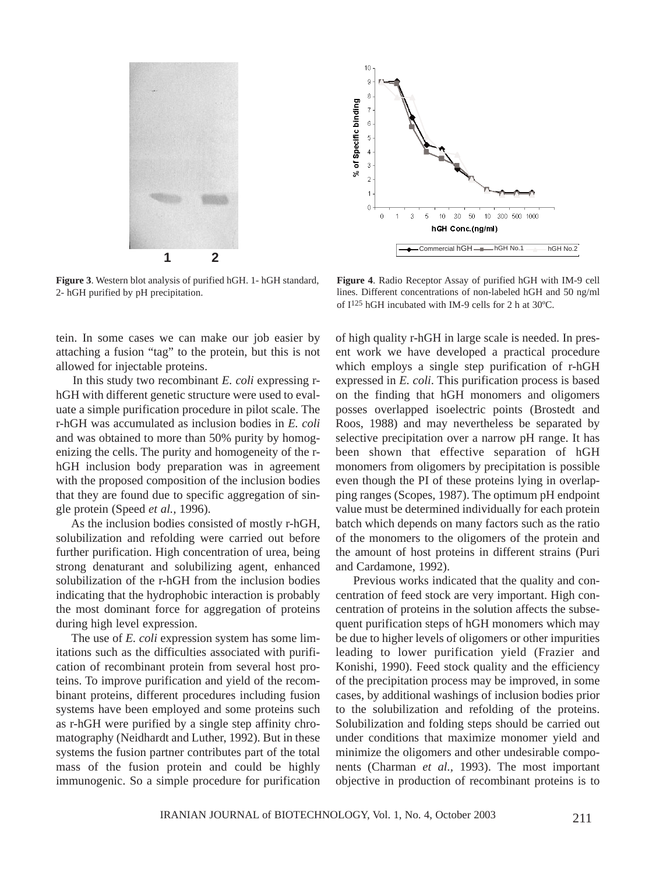

**Figure 3**. Western blot analysis of purified hGH. 1- hGH standard, 2- hGH purified by pH precipitation.

tein. In some cases we can make our job easier by attaching a fusion "tag" to the protein, but this is not allowed for injectable proteins.

In this study two recombinant *E. coli* expressing rhGH with different genetic structure were used to evaluate a simple purification procedure in pilot scale. The r-hGH was accumulated as inclusion bodies in *E. coli* and was obtained to more than 50% purity by homogenizing the cells. The purity and homogeneity of the rhGH inclusion body preparation was in agreement with the proposed composition of the inclusion bodies that they are found due to specific aggregation of single protein (Speed *et al.,* 1996).

As the inclusion bodies consisted of mostly r-hGH, solubilization and refolding were carried out before further purification. High concentration of urea, being strong denaturant and solubilizing agent, enhanced solubilization of the r-hGH from the inclusion bodies indicating that the hydrophobic interaction is probably the most dominant force for aggregation of proteins during high level expression.

The use of *E. coli* expression system has some limitations such as the difficulties associated with purification of recombinant protein from several host proteins. To improve purification and yield of the recombinant proteins, different procedures including fusion systems have been employed and some proteins such as r-hGH were purified by a single step affinity chromatography (Neidhardt and Luther, 1992). But in these systems the fusion partner contributes part of the total mass of the fusion protein and could be highly immunogenic. So a simple procedure for purification



**Figure 4**. Radio Receptor Assay of purified hGH with IM-9 cell lines. Different concentrations of non-labeled hGH and 50 ng/ml of I125 hGH incubated with IM-9 cells for 2 h at 30ºC.

of high quality r-hGH in large scale is needed. In present work we have developed a practical procedure which employs a single step purification of r-hGH expressed in *E. coli*. This purification process is based on the finding that hGH monomers and oligomers posses overlapped isoelectric points (Brostedt and Roos, 1988) and may nevertheless be separated by selective precipitation over a narrow pH range. It has been shown that effective separation of hGH monomers from oligomers by precipitation is possible even though the PI of these proteins lying in overlapping ranges (Scopes, 1987). The optimum pH endpoint value must be determined individually for each protein batch which depends on many factors such as the ratio of the monomers to the oligomers of the protein and the amount of host proteins in different strains (Puri and Cardamone, 1992).

Previous works indicated that the quality and concentration of feed stock are very important. High concentration of proteins in the solution affects the subsequent purification steps of hGH monomers which may be due to higher levels of oligomers or other impurities leading to lower purification yield (Frazier and Konishi, 1990). Feed stock quality and the efficiency of the precipitation process may be improved, in some cases, by additional washings of inclusion bodies prior to the solubilization and refolding of the proteins. Solubilization and folding steps should be carried out under conditions that maximize monomer yield and minimize the oligomers and other undesirable components (Charman *et al.,* 1993). The most important objective in production of recombinant proteins is to